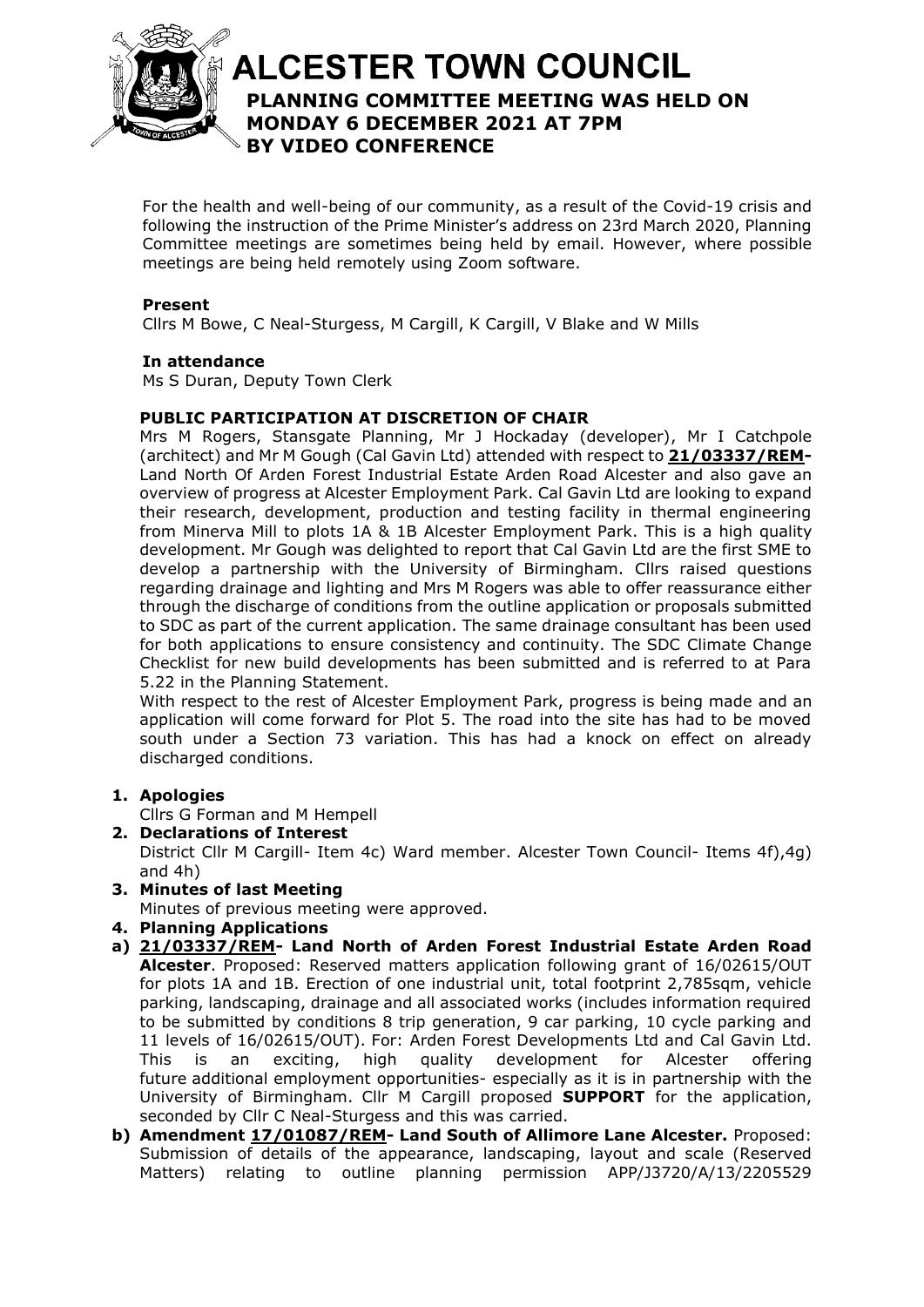

# **ALCESTER TOWN COUNCIL PLANNING COMMITTEE MEETING WAS HELD ON**  At the discretion of the Chair **MONDAY 6 DECEMBER 2021 AT 7PM BY VIDEO CONFERENCE**

For the health and well-being of our community, as a result of the Covid-19 crisis and following the instruction of the Prime Minister's address on 23rd March 2020, Planning Committee meetings are sometimes being held by email. However, where possible meetings are being held remotely using Zoom software.

## **Present**

Cllrs M Bowe, C Neal-Sturgess, M Cargill, K Cargill, V Blake and W Mills

#### **In attendance**

Ms S Duran, Deputy Town Clerk

# **PUBLIC PARTICIPATION AT DISCRETION OF CHAIR**

Mrs M Rogers, Stansgate Planning, Mr J Hockaday (developer), Mr I Catchpole (architect) and Mr M Gough (Cal Gavin Ltd) attended with respect to **[21/03337/REM-](https://apps.stratford.gov.uk/eplanning/AppDetail.aspx?appkey=R16HTSPMFP200)**Land North Of Arden Forest Industrial Estate Arden Road Alcester and also gave an overview of progress at Alcester Employment Park. Cal Gavin Ltd are looking to expand their research, development, production and testing facility in thermal engineering from Minerva Mill to plots 1A & 1B Alcester Employment Park. This is a high quality development. Mr Gough was delighted to report that Cal Gavin Ltd are the first SME to develop a partnership with the University of Birmingham. Cllrs raised questions regarding drainage and lighting and Mrs M Rogers was able to offer reassurance either through the discharge of conditions from the outline application or proposals submitted to SDC as part of the current application. The same drainage consultant has been used for both applications to ensure consistency and continuity. The SDC Climate Change Checklist for new build developments has been submitted and is referred to at Para 5.22 in the Planning Statement.

With respect to the rest of Alcester Employment Park, progress is being made and an application will come forward for Plot 5. The road into the site has had to be moved south under a Section 73 variation. This has had a knock on effect on already discharged conditions.

#### **1. Apologies**

Cllrs G Forman and M Hempell

- **2. Declarations of Interest** District Cllr M Cargill- Item 4c) Ward member. Alcester Town Council- Items 4f),4g) and 4h)
- **3. Minutes of last Meeting**

Minutes of previous meeting were approved.

- **4. Planning Applications**
- **a) [21/03337/REM-](https://apps.stratford.gov.uk/eplanning/AppDetail.aspx?appkey=R16HTSPMFP200) Land North of Arden Forest Industrial Estate Arden Road Alcester**. Proposed: Reserved matters application following grant of 16/02615/OUT for plots 1A and 1B. Erection of one industrial unit, total footprint 2,785sqm, vehicle parking, landscaping, drainage and all associated works (includes information required to be submitted by conditions 8 trip generation, 9 car parking, 10 cycle parking and 11 levels of 16/02615/OUT). For: Arden Forest Developments Ltd and Cal Gavin Ltd. This is an exciting, high quality development for Alcester offering future additional employment opportunities- especially as it is in partnership with the University of Birmingham. Cllr M Cargill proposed **SUPPORT** for the application, seconded by Cllr C Neal-Sturgess and this was carried.
- **b) Amendment [17/01087/REM-](https://apps.stratford.gov.uk/eplanning/AppDetail.aspx?appkey=OO8PBYPM00E00) Land South of Allimore Lane Alcester.** Proposed: Submission of details of the appearance, landscaping, layout and scale (Reserved Matters) relating to outline planning permission APP/J3720/A/13/2205529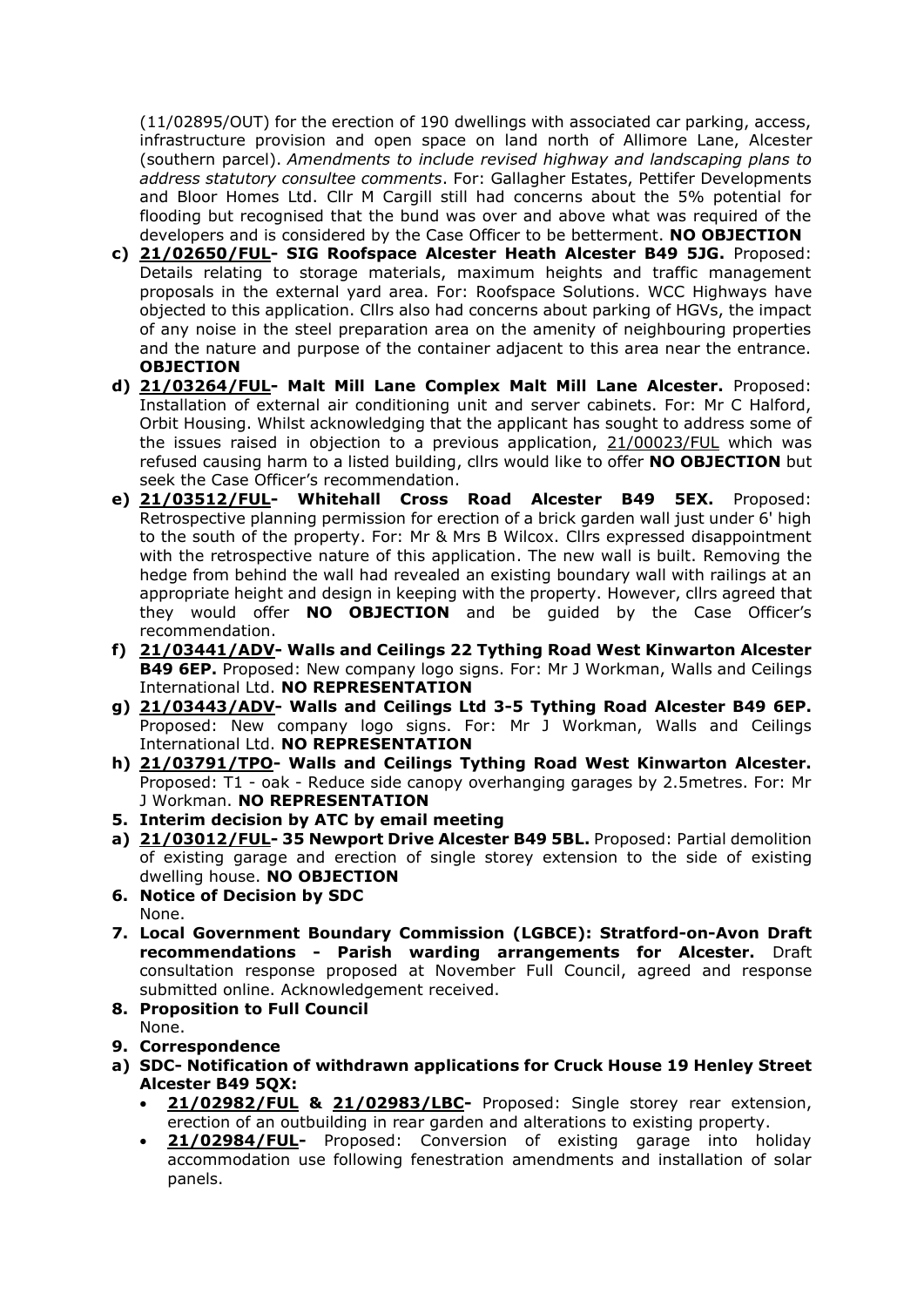(11/02895/OUT) for the erection of 190 dwellings with associated car parking, access, infrastructure provision and open space on land north of Allimore Lane, Alcester (southern parcel). *Amendments to include revised highway and landscaping plans to address statutory consultee comments*. For: Gallagher Estates, Pettifer Developments and Bloor Homes Ltd. Cllr M Cargill still had concerns about the 5% potential for flooding but recognised that the bund was over and above what was required of the developers and is considered by the Case Officer to be betterment. **NO OBJECTION**

- **c) [21/02650/FUL-](https://apps.stratford.gov.uk/eplanning/AppDetail.aspx?appkey=QXZIV6PMM4P00) SIG Roofspace Alcester Heath Alcester B49 5JG.** Proposed: Details relating to storage materials, maximum heights and traffic management proposals in the external yard area. For: Roofspace Solutions. WCC Highways have objected to this application. Cllrs also had concerns about parking of HGVs, the impact of any noise in the steel preparation area on the amenity of neighbouring properties and the nature and purpose of the container adjacent to this area near the entrance. **OBJECTION**
- **d) [21/03264/FUL-](https://apps.stratford.gov.uk/eplanning/AppDetail.aspx?appkey=R0V5F1PMJO100) Malt Mill Lane Complex Malt Mill Lane Alcester.** Proposed: Installation of external air conditioning unit and server cabinets. For: Mr C Halford, Orbit Housing. Whilst acknowledging that the applicant has sought to address some of the issues raised in objection to a previous application, [21/00023/FUL](https://apps.stratford.gov.uk/eplanning/AppDetail.aspx?appkey=QMEUVDPMG6500) which was refused causing harm to a listed building, cllrs would like to offer **NO OBJECTION** but seek the Case Officer's recommendation.
- **e) [21/03512/FUL-](https://apps.stratford.gov.uk/eplanning/AppDetail.aspx?appkey=R1ZW36PML2900) Whitehall Cross Road Alcester B49 5EX.** Proposed: Retrospective planning permission for erection of a brick garden wall just under 6' high to the south of the property. For: Mr & Mrs B Wilcox. Cllrs expressed disappointment with the retrospective nature of this application. The new wall is built. Removing the hedge from behind the wall had revealed an existing boundary wall with railings at an appropriate height and design in keeping with the property. However, cllrs agreed that they would offer **NO OBJECTION** and be guided by the Case Officer's recommendation.
- **f) [21/03441/ADV-](https://apps.stratford.gov.uk/eplanning/AppDetail.aspx?appkey=R1MTLBPM0L700) Walls and Ceilings 22 Tything Road West Kinwarton Alcester B49 6EP.** Proposed: New company logo signs. For: Mr J Workman, Walls and Ceilings International Ltd. **NO REPRESENTATION**
- **g) [21/03443/ADV-](https://apps.stratford.gov.uk/eplanning/AppDetail.aspx?appkey=R1MZIHPM0L700) Walls and Ceilings Ltd 3-5 Tything Road Alcester B49 6EP.** Proposed: New company logo signs. For: Mr J Workman, Walls and Ceilings International Ltd. **NO REPRESENTATION**
- **h) [21/03791/TPO-](https://apps.stratford.gov.uk/eplanning/AppDetail.aspx?appkey=R3E612PM0GL00) Walls and Ceilings Tything Road West Kinwarton Alcester.** Proposed: T1 - oak - Reduce side canopy overhanging garages by 2.5metres. For: Mr J Workman. **NO REPRESENTATION**
- **5. Interim decision by ATC by email meeting**
- **a) [21/03012/FUL-](https://apps.stratford.gov.uk/eplanning/AppDetail.aspx?appkey=QZQ0USPMIT600) 35 Newport Drive Alcester B49 5BL.** Proposed: Partial demolition of existing garage and erection of single storey extension to the side of existing dwelling house. **NO OBJECTION**
- **6. Notice of Decision by SDC** None.
- **7. Local Government Boundary Commission (LGBCE): Stratford-on-Avon Draft recommendations - Parish warding arrangements for Alcester.** Draft consultation response proposed at November Full Council, agreed and response submitted online. Acknowledgement received.
- **8. Proposition to Full Council** None.
- **9. Correspondence**
- **a) SDC- Notification of withdrawn applications for Cruck House 19 Henley Street Alcester B49 5QX:**
	- **[21/02982/FUL](https://apps.stratford.gov.uk/eplanning/AppDetail.aspx?appkey=QZIXA1PMHZY00) & [21/02983/LBC-](https://apps.stratford.gov.uk/eplanning/AppDetail.aspx?appkey=QZIXA5PMHZZ00)** Proposed: Single storey rear extension, erection of an outbuilding in rear garden and alterations to existing property.
	- **[21/02984/FUL-](https://apps.stratford.gov.uk/eplanning/AppDetail.aspx?appkey=QZIXAAPMI0200)** Proposed: Conversion of existing garage into holiday accommodation use following fenestration amendments and installation of solar panels.